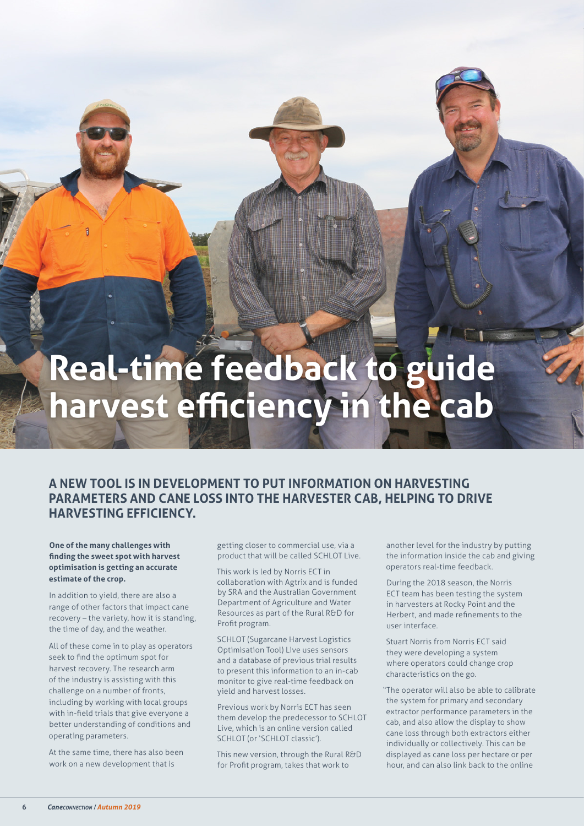## **Real-time feedback to guide harvest efficiency in the cab**

## **A NEW TOOL IS IN DEVELOPMENT TO PUT INFORMATION ON HARVESTING PARAMETERS AND CANE LOSS INTO THE HARVESTER CAB, HELPING TO DRIVE HARVESTING EFFICIENCY.**

**One of the many challenges with finding the sweet spot with harvest optimisation is getting an accurate estimate of the crop.**

In addition to yield, there are also a range of other factors that impact cane recovery – the variety, how it is standing, the time of day, and the weather.

All of these come in to play as operators seek to find the optimum spot for harvest recovery. The research arm of the industry is assisting with this challenge on a number of fronts, including by working with local groups with in-field trials that give everyone a better understanding of conditions and operating parameters.

At the same time, there has also been work on a new development that is

getting closer to commercial use, via a product that will be called SCHLOT Live.

This work is led by Norris ECT in collaboration with Agtrix and is funded by SRA and the Australian Government Department of Agriculture and Water Resources as part of the Rural R&D for Profit program.

SCHLOT (Sugarcane Harvest Logistics Optimisation Tool) Live uses sensors and a database of previous trial results to present this information to an in-cab monitor to give real-time feedback on yield and harvest losses.

Previous work by Norris ECT has seen them develop the predecessor to SCHLOT Live, which is an online version called SCHLOT (or 'SCHLOT classic').

This new version, through the Rural R&D for Profit program, takes that work to

another level for the industry by putting the information inside the cab and giving operators real-time feedback.

During the 2018 season, the Norris ECT team has been testing the system in harvesters at Rocky Point and the Herbert, and made refinements to the user interface.

Stuart Norris from Norris ECT said they were developing a system where operators could change crop characteristics on the go.

"The operator will also be able to calibrate the system for primary and secondary extractor performance parameters in the cab, and also allow the display to show cane loss through both extractors either individually or collectively. This can be displayed as cane loss per hectare or per hour, and can also link back to the online